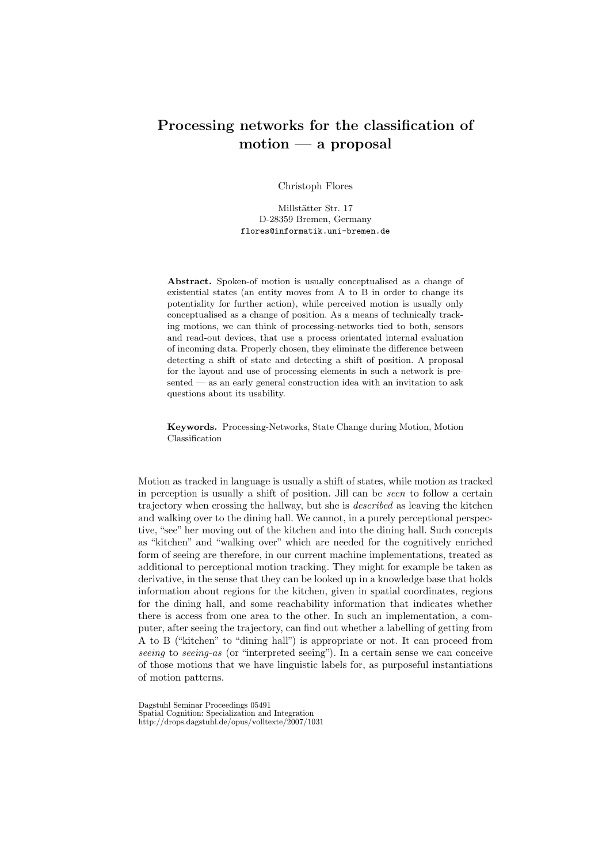## Processing networks for the classification of motion — a proposal

Christoph Flores

Millstätter Str. 17 D-28359 Bremen, Germany flores@informatik.uni-bremen.de

Abstract. Spoken-of motion is usually conceptualised as a change of existential states (an entity moves from A to B in order to change its potentiality for further action), while perceived motion is usually only conceptualised as a change of position. As a means of technically tracking motions, we can think of processing-networks tied to both, sensors and read-out devices, that use a process orientated internal evaluation of incoming data. Properly chosen, they eliminate the difference between detecting a shift of state and detecting a shift of position. A proposal for the layout and use of processing elements in such a network is presented — as an early general construction idea with an invitation to ask questions about its usability.

Keywords. Processing-Networks, State Change during Motion, Motion Classification

Motion as tracked in language is usually a shift of states, while motion as tracked in perception is usually a shift of position. Jill can be seen to follow a certain trajectory when crossing the hallway, but she is described as leaving the kitchen and walking over to the dining hall. We cannot, in a purely perceptional perspective, "see" her moving out of the kitchen and into the dining hall. Such concepts as "kitchen" and "walking over" which are needed for the cognitively enriched form of seeing are therefore, in our current machine implementations, treated as additional to perceptional motion tracking. They might for example be taken as derivative, in the sense that they can be looked up in a knowledge base that holds information about regions for the kitchen, given in spatial coordinates, regions for the dining hall, and some reachability information that indicates whether there is access from one area to the other. In such an implementation, a computer, after seeing the trajectory, can find out whether a labelling of getting from A to B ("kitchen" to "dining hall") is appropriate or not. It can proceed from seeing to seeing-as (or "interpreted seeing"). In a certain sense we can conceive of those motions that we have linguistic labels for, as purposeful instantiations of motion patterns.

Dagstuhl Seminar Proceedings 05491 Spatial Cognition: Specialization and Integration http://drops.dagstuhl.de/opus/volltexte/2007/1031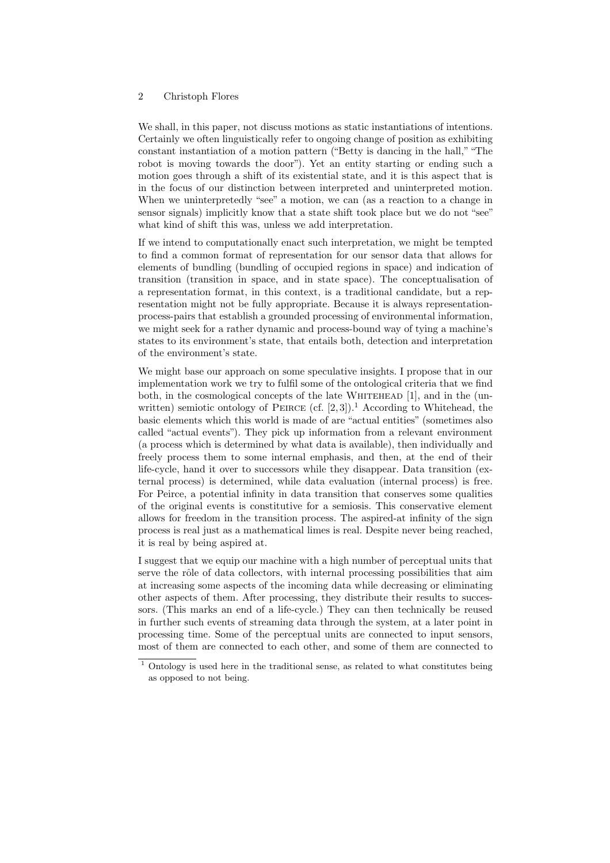## 2 Christoph Flores

We shall, in this paper, not discuss motions as static instantiations of intentions. Certainly we often linguistically refer to ongoing change of position as exhibiting constant instantiation of a motion pattern ("Betty is dancing in the hall,""The robot is moving towards the door"). Yet an entity starting or ending such a motion goes through a shift of its existential state, and it is this aspect that is in the focus of our distinction between interpreted and uninterpreted motion. When we uninterpretedly "see" a motion, we can (as a reaction to a change in sensor signals) implicitly know that a state shift took place but we do not "see" what kind of shift this was, unless we add interpretation.

If we intend to computationally enact such interpretation, we might be tempted to find a common format of representation for our sensor data that allows for elements of bundling (bundling of occupied regions in space) and indication of transition (transition in space, and in state space). The conceptualisation of a representation format, in this context, is a traditional candidate, but a representation might not be fully appropriate. Because it is always representationprocess-pairs that establish a grounded processing of environmental information, we might seek for a rather dynamic and process-bound way of tying a machine's states to its environment's state, that entails both, detection and interpretation of the environment's state.

We might base our approach on some speculative insights. I propose that in our implementation work we try to fulfil some of the ontological criteria that we find both, in the cosmological concepts of the late WHITEHEAD  $[1]$ , and in the (unwritten) semiotic ontology of PEIRCE (cf.  $[2,3]$ ).<sup>1</sup> According to Whitehead, the basic elements which this world is made of are "actual entities" (sometimes also called "actual events"). They pick up information from a relevant environment (a process which is determined by what data is available), then individually and freely process them to some internal emphasis, and then, at the end of their life-cycle, hand it over to successors while they disappear. Data transition (external process) is determined, while data evaluation (internal process) is free. For Peirce, a potential infinity in data transition that conserves some qualities of the original events is constitutive for a semiosis. This conservative element allows for freedom in the transition process. The aspired-at infinity of the sign process is real just as a mathematical limes is real. Despite never being reached, it is real by being aspired at.

I suggest that we equip our machine with a high number of perceptual units that serve the rôle of data collectors, with internal processing possibilities that aim at increasing some aspects of the incoming data while decreasing or eliminating other aspects of them. After processing, they distribute their results to successors. (This marks an end of a life-cycle.) They can then technically be reused in further such events of streaming data through the system, at a later point in processing time. Some of the perceptual units are connected to input sensors, most of them are connected to each other, and some of them are connected to

 $^{\rm 1}$  Ontology is used here in the traditional sense, as related to what constitutes being as opposed to not being.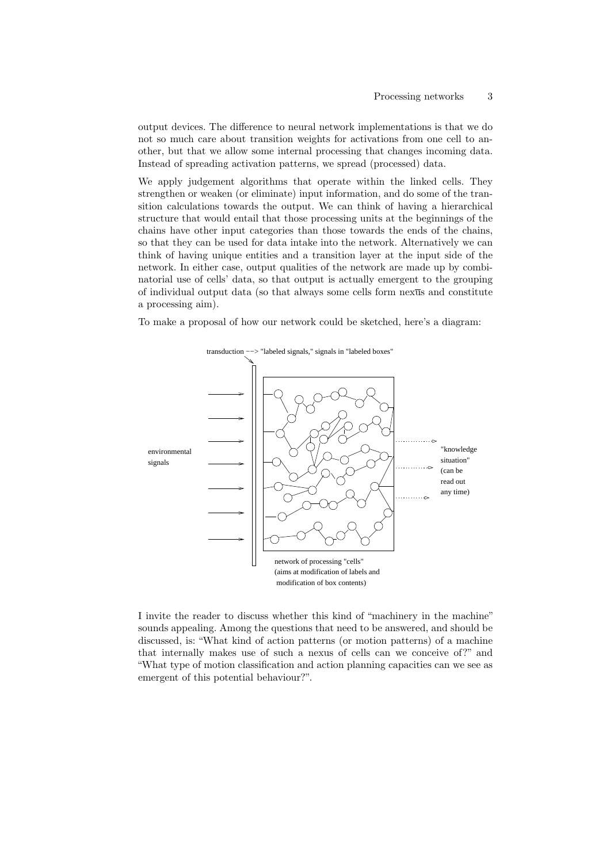output devices. The difference to neural network implementations is that we do not so much care about transition weights for activations from one cell to another, but that we allow some internal processing that changes incoming data. Instead of spreading activation patterns, we spread (processed) data.

We apply judgement algorithms that operate within the linked cells. They strengthen or weaken (or eliminate) input information, and do some of the transition calculations towards the output. We can think of having a hierarchical structure that would entail that those processing units at the beginnings of the chains have other input categories than those towards the ends of the chains, so that they can be used for data intake into the network. Alternatively we can think of having unique entities and a transition layer at the input side of the network. In either case, output qualities of the network are made up by combinatorial use of cells' data, so that output is actually emergent to the grouping of individual output data (so that always some cells form nexus and constitute a processing aim).

To make a proposal of how our network could be sketched, here's a diagram:



I invite the reader to discuss whether this kind of "machinery in the machine" sounds appealing. Among the questions that need to be answered, and should be discussed, is: "What kind of action patterns (or motion patterns) of a machine that internally makes use of such a nexus of cells can we conceive of?" and "What type of motion classification and action planning capacities can we see as emergent of this potential behaviour?".